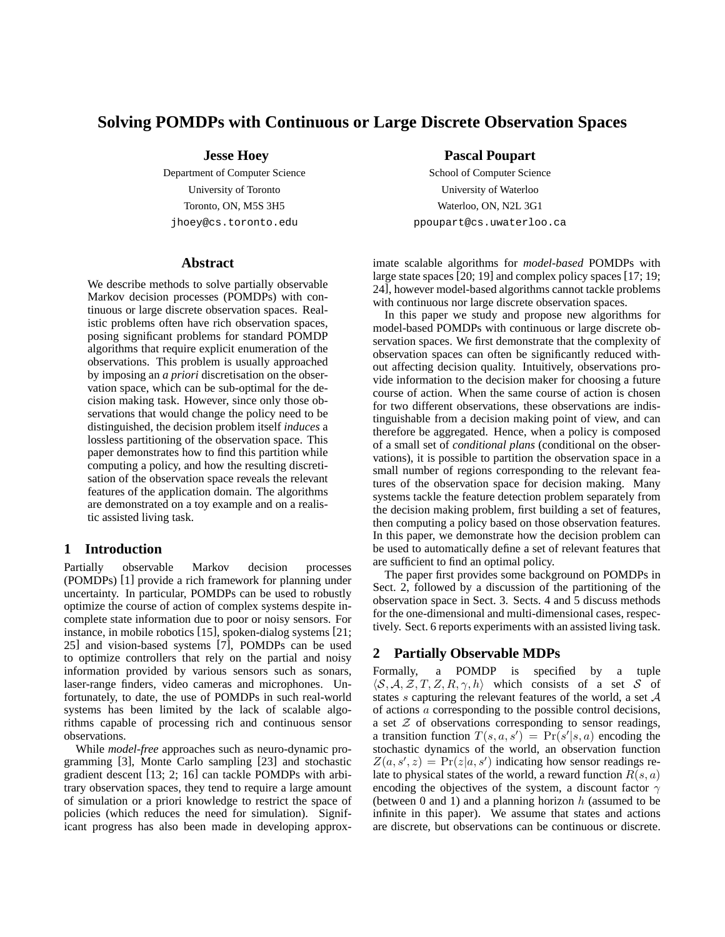# **Solving POMDPs with Continuous or Large Discrete Observation Spaces**

## **Jesse Hoey**

Department of Computer Science University of Toronto Toronto, ON, M5S 3H5 jhoey@cs.toronto.edu

### **Abstract**

We describe methods to solve partially observable Markov decision processes (POMDPs) with continuous or large discrete observation spaces. Realistic problems often have rich observation spaces, posing significant problems for standard POMDP algorithms that require explicit enumeration of the observations. This problem is usually approached by imposing an *a priori* discretisation on the observation space, which can be sub-optimal for the decision making task. However, since only those observations that would change the policy need to be distinguished, the decision problem itself *induces* a lossless partitioning of the observation space. This paper demonstrates how to find this partition while computing a policy, and how the resulting discretisation of the observation space reveals the relevant features of the application domain. The algorithms are demonstrated on a toy example and on a realistic assisted living task.

# **1 Introduction**

Partially observable Markov decision processes (POMDPs) [1] provide a rich framework for planning under uncertainty. In particular, POMDPs can be used to robustly optimize the course of action of complex systems despite incomplete state information due to poor or noisy sensors. For instance, in mobile robotics [15], spoken-dialog systems [21; 25] and vision-based systems [7], POMDPs can be used to optimize controllers that rely on the partial and noisy information provided by various sensors such as sonars, laser-range finders, video cameras and microphones. Unfortunately, to date, the use of POMDPs in such real-world systems has been limited by the lack of scalable algorithms capable of processing rich and continuous sensor observations.

While *model-free* approaches such as neuro-dynamic programming [3], Monte Carlo sampling [23] and stochastic gradient descent [13; 2; 16] can tackle POMDPs with arbitrary observation spaces, they tend to require a large amount of simulation or a priori knowledge to restrict the space of policies (which reduces the need for simulation). Significant progress has also been made in developing approx-

## **Pascal Poupart**

School of Computer Science University of Waterloo Waterloo, ON, N2L 3G1 ppoupart@cs.uwaterloo.ca

imate scalable algorithms for *model-based* POMDPs with large state spaces [20; 19] and complex policy spaces [17; 19; 24], however model-based algorithms cannot tackle problems with continuous nor large discrete observation spaces.

In this paper we study and propose new algorithms for model-based POMDPs with continuous or large discrete observation spaces. We first demonstrate that the complexity of observation spaces can often be significantly reduced without affecting decision quality. Intuitively, observations provide information to the decision maker for choosing a future course of action. When the same course of action is chosen for two different observations, these observations are indistinguishable from a decision making point of view, and can therefore be aggregated. Hence, when a policy is composed of a small set of *conditional plans* (conditional on the observations), it is possible to partition the observation space in a small number of regions corresponding to the relevant features of the observation space for decision making. Many systems tackle the feature detection problem separately from the decision making problem, first building a set of features, then computing a policy based on those observation features. In this paper, we demonstrate how the decision problem can be used to automatically define a set of relevant features that are sufficient to find an optimal policy.

The paper first provides some background on POMDPs in Sect. 2, followed by a discussion of the partitioning of the observation space in Sect. 3. Sects. 4 and 5 discuss methods for the one-dimensional and multi-dimensional cases, respectively. Sect. 6 reports experiments with an assisted living task.

## **2 Partially Observable MDPs**

Formally, a POMDP is specified by a tuple  $\langle S, A, Z, T, Z, R, \gamma, h \rangle$  which consists of a set S of states s capturing the relevant features of the world, a set  $A$ of actions a corresponding to the possible control decisions, a set  $Z$  of observations corresponding to sensor readings, a transition function  $T(s, a, s') = Pr(s'|s, a)$  encoding the stochastic dynamics of the world an observation function stochastic dynamics of the world, an observation function  $Z(a, s', z) = \Pr(z|a, s')$  indicating how sensor readings re-<br>late to physical states of the world a reward function  $R(s, a)$ late to physical states of the world, a reward function  $R(s, a)$ encoding the objectives of the system, a discount factor  $\gamma$ (between  $0$  and  $1$ ) and a planning horizon  $h$  (assumed to be infinite in this paper). We assume that states and actions are discrete, but observations can be continuous or discrete.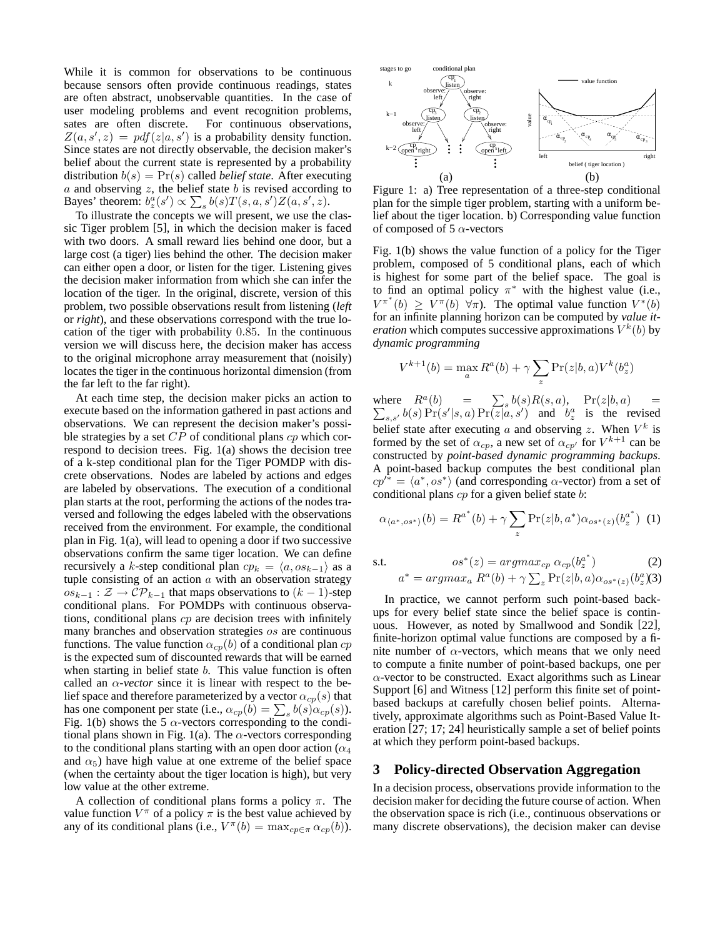While it is common for observations to be continuous because sensors often provide continuous readings, states are often abstract, unobservable quantities. In the case of user modeling problems and event recognition problems, sates are often discrete. For continuous observations,  $Z(a, s', z) = pdf(z|a, s')$  is a probability density function.<br>Since states are not directly observable, the decision maker's Since states are not directly observable, the decision maker's belief about the current state is represented by a probability distribution  $b(s) = Pr(s)$  called *belief state*. After executing  $a$  and observing  $z$ , the belief state  $b$  is revised according to Bayes' theorem:  $b_z^a(s') \propto \sum_s b(s)T(s, a, s')Z(a, s', z)$ .<br>To illustrate the concents we will present, we use the

To illustrate the concepts we will present, we use the classic Tiger problem [5], in which the decision maker is faced with two doors. A small reward lies behind one door, but a large cost (a tiger) lies behind the other. The decision maker can either open a door, or listen for the tiger. Listening gives the decision maker information from which she can infer the location of the tiger. In the original, discrete, version of this problem, two possible observations result from listening (*left* or *right*), and these observations correspond with the true location of the tiger with probability 0.85. In the continuous version we will discuss here, the decision maker has access to the original microphone array measurement that (noisily) locates the tiger in the continuous horizontal dimension (from the far left to the far right).

At each time step, the decision maker picks an action to execute based on the information gathered in past actions and observations. We can represent the decision maker's possible strategies by a set  $CP$  of conditional plans  $cp$  which correspond to decision trees. Fig. 1(a) shows the decision tree of a k-step conditional plan for the Tiger POMDP with discrete observations. Nodes are labeled by actions and edges are labeled by observations. The execution of a conditional plan starts at the root, performing the actions of the nodes traversed and following the edges labeled with the observations received from the environment. For example, the conditional plan in Fig. 1(a), will lead to opening a door if two successive observations confirm the same tiger location. We can define recursively a k-step conditional plan  $cp_k = \langle a, os_{k-1} \rangle$  as a tuple consisting of an action  $a$  with an observation strategy  $os_{k-1}$ :  $\mathcal{Z}$  →  $\mathcal{CP}_{k-1}$  that maps observations to  $(k-1)$ -step conditional plans. For POMDPs with continuous observations, conditional plans  $cp$  are decision trees with infinitely many branches and observation strategies os are continuous functions. The value function  $\alpha_{cp}(b)$  of a conditional plan  $cp$ is the expected sum of discounted rewards that will be earned when starting in belief state  $b$ . This value function is often called an  $\alpha$ -vector since it is linear with respect to the belief space and therefore parameterized by a vector  $\alpha_{cp}(s)$  that has one component per state (i.e.,  $\alpha_{cp}(b) = \sum_s b(s) \alpha_{cp}(s)$ ).<br>Fig. 1(b) shows the 5  $\alpha$ -vectors corresponding to the condi-Fig. 1(b) shows the 5  $\alpha$ -vectors corresponding to the conditional plans shown in Fig. 1(a). The  $\alpha$ -vectors corresponding to the conditional plans starting with an open door action ( $\alpha_4$ ) and  $\alpha_5$ ) have high value at one extreme of the belief space (when the certainty about the tiger location is high), but very low value at the other extreme.

A collection of conditional plans forms a policy  $\pi$ . The value function  $V^{\pi}$  of a policy  $\pi$  is the best value achieved by any of its conditional plans (i.e.,  $V^{\pi}(b) = \max_{cp \in \pi} \alpha_{cp}(b)$ ).



Figure 1: a) Tree representation of a three-step conditional plan for the simple tiger problem, starting with a uniform belief about the tiger location. b) Corresponding value function of composed of 5  $\alpha$ -vectors

Fig. 1(b) shows the value function of a policy for the Tiger problem, composed of 5 conditional plans, each of which is highest for some part of the belief space. The goal is to find an optimal policy  $\pi^*$  with the highest value (i.e.,  $V^{\pi^*}(b) \geq V^{\pi}(b) \ \forall \pi$ ). The optimal value function  $V^*(b)$  for an infinite planning horizon can be computed by value itfor an infinite planning horizon can be computed by *value iteration* which computes successive approximations  $V^k(b)$  by *dynamic programming*

$$
V^{k+1}(b) = \max_{a} R^{a}(b) + \gamma \sum_{z} \Pr(z|b, a) V^{k}(b_{z}^{a})
$$

where  $R^a(b) = \sum_s b(s)R(s, a)$ ,  $Pr(z|b, a) = \sum_{s,s'} b(s)Pr(s'|s, a)Pr(z|a, s')$  and  $b^a_s$  is the revised  $s,s'$  b(s)  $Pr(s'|s,a)$   $Pr(z|a, s')$  and  $b<sup>a</sup>$  is the revised belief state after executing a and observing z. When  $V^k$  is formed by the set of  $\alpha_{cp}$ , a new set of  $\alpha_{cp'}$  for  $V^{k+1}$  can be constructed by *point-based dynamic programming backups*. A point-based backup computes the best conditional plan  $cp'^* = \langle a^*, os^* \rangle$  (and corresponding  $\alpha$ -vector) from a set of conditional plans  $cp$  for a given belief state  $b$ :

$$
\alpha_{\langle a^*,os^* \rangle}(b) = R^{a^*}(b) + \gamma \sum_{z} \Pr(z|b, a^*) \alpha_{os^*(z)}(b_z^{a^*}) \tag{1}
$$

s.t. 
$$
os^*(z) = argmax_{cp} \alpha_{cp}(b_z^{a^*})
$$
 (2)

$$
a^* = argmax_a R^a(b) + \gamma \sum_z \Pr(z|b, a)\alpha_{os^*(z)}(b_z^a)
$$

In practice, we cannot perform such point-based backups for every belief state since the belief space is continuous. However, as noted by Smallwood and Sondik [22], finite-horizon optimal value functions are composed by a finite number of  $\alpha$ -vectors, which means that we only need to compute a finite number of point-based backups, one per  $\alpha$ -vector to be constructed. Exact algorithms such as Linear Support [6] and Witness [12] perform this finite set of pointbased backups at carefully chosen belief points. Alternatively, approximate algorithms such as Point-Based Value Iteration [27; 17; 24] heuristically sample a set of belief points at which they perform point-based backups.

### **3 Policy-directed Observation Aggregation**

In a decision process, observations provide information to the decision maker for deciding the future course of action. When the observation space is rich (i.e., continuous observations or many discrete observations), the decision maker can devise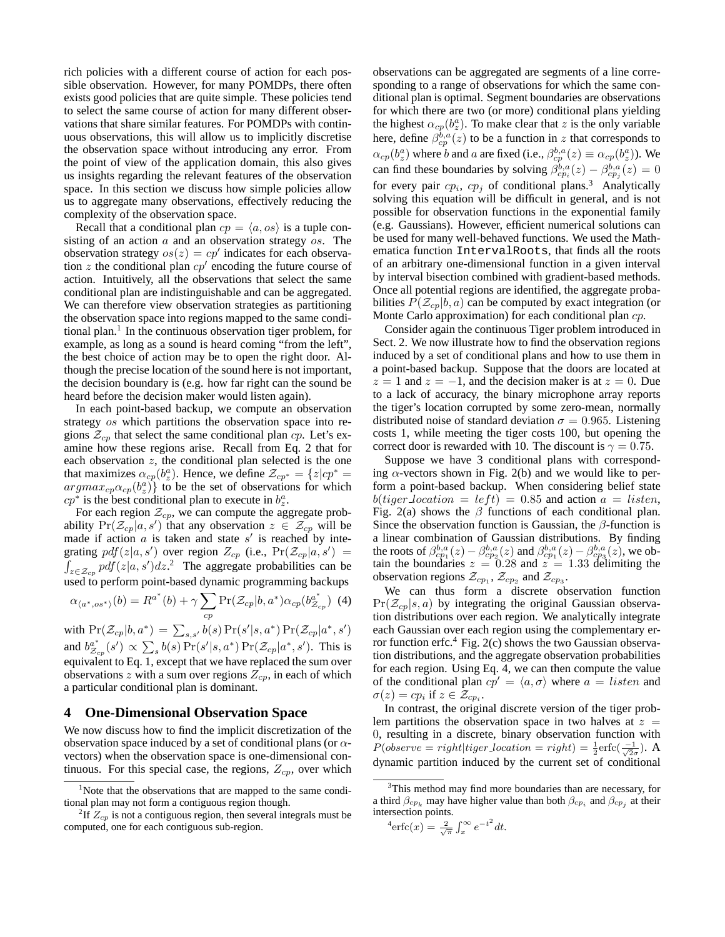rich policies with a different course of action for each possible observation. However, for many POMDPs, there often exists good policies that are quite simple. These policies tend to select the same course of action for many different observations that share similar features. For POMDPs with continuous observations, this will allow us to implicitly discretise the observation space without introducing any error. From the point of view of the application domain, this also gives us insights regarding the relevant features of the observation space. In this section we discuss how simple policies allow us to aggregate many observations, effectively reducing the complexity of the observation space.

Recall that a conditional plan  $cp = \langle a, os \rangle$  is a tuple consisting of an action  $a$  and an observation strategy  $\mathfrak{os}$ . The observation strategy  $os(z) = cp'$  indicates for each observation  $z$  the conditional plan  $cp'$  encoding the future course of action. Intuitively, all the observations that select the same conditional plan are indistinguishable and can be aggregated. We can therefore view observation strategies as partitioning the observation space into regions mapped to the same conditional plan.<sup>1</sup> In the continuous observation tiger problem, for example, as long as a sound is heard coming "from the left", the best choice of action may be to open the right door. Although the precise location of the sound here is not important, the decision boundary is (e.g. how far right can the sound be heard before the decision maker would listen again).

In each point-based backup, we compute an observation strategy os which partitions the observation space into regions  $\mathcal{Z}_{cp}$  that select the same conditional plan cp. Let's examine how these regions arise. Recall from Eq. 2 that for each observation  $z$ , the conditional plan selected is the one that maximizes  $\alpha_{cp}(b^a)$ . Hence, we define  $\mathcal{Z}_{cp^*} = \{z|cp^* = a\nr a\nr a^r \dots \alpha_{pr}(b^a)\}$  to be the set of observations for which  $argmax_{cp} \alpha_{cp}(b_x^{\alpha})$  to be the set of observations for which  $cn^*$  is the best conditional plan to execute in  $b^{\alpha}$  $cp^*$  is the best conditional plan to execute in  $b^a_z$ .

For each region  $\mathcal{Z}_{cp}$ , we can compute the aggregate probability  $Pr(\mathcal{Z}_{cp}|a, s')$  that any observation  $z \in \mathcal{Z}_{cp}$  will be made if action a is taken and state s' is reached by intemade if action  $a$  is taken and state  $s'$  is reached by integrating  $pdf(z|a, s')$  over region  $Z_{cp}$  (i.e.,  $Pr(Z_{cp}|a, s')$  $\int_{z \in \mathcal{Z}_{cp}} p df(z|a, s') dz$ .<sup>2</sup> The aggregate probabilities can be used to perform point-based dynamic programming backups

$$
\alpha_{\langle a^*, \text{os*}\rangle}(b) = R^{a^*}(b) + \gamma \sum_{cp} \Pr(\mathcal{Z}_{cp}|b, a^*) \alpha_{cp}(b_{\mathcal{Z}_{cp}}^{a^*}) \tag{4}
$$

with  $Pr(Z_{cp}|b, a^*) = \sum_{s,s'} b(s) Pr(s'|s, a^*) Pr(Z_{cp}|a^*, s')$ and  $b_{Z_{cp}}^{a^*}(s') \propto \sum_s b(s) \Pr(s'|s, a^*) \Pr(\mathcal{Z}_{cp}|a^*, s')$ . This is<br>equivalent to Eq. 1, except that we have replaced the sum over observations z with a sum over regions  $Z_{cp}$ , in each of which a particular conditional plan is dominant.

## **4 One-Dimensional Observation Space**

We now discuss how to find the implicit discretization of the observation space induced by a set of conditional plans (or  $\alpha$ vectors) when the observation space is one-dimensional continuous. For this special case, the regions,  $Z_{cp}$ , over which

observations can be aggregated are segments of a line corresponding to a range of observations for which the same conditional plan is optimal. Segment boundaries are observations for which there are two (or more) conditional plans yielding the highest  $\alpha_{cp}(b_x^a)$ . To make clear that z is the only variable<br>here define  $\beta_{p,a}(z)$  to be a function in z that corresponds to here, define  $\beta_{cp}^{b,a}(z)$  to be a function in z that corresponds to  $c_p^{b,a}(z)$  to be a function in z that corresponds to  $c_p^{b,a}(z)$  and a arc fixed  $(i, e^{-\beta b,a}(z)) = c_p^{b,a}(h^a)$ .  $\alpha_{cp}(b_z^a)$  where b and a are fixed (i.e.,  $\beta_{cp}^{b,a}(z) \equiv \alpha_{cp}(b_z^a)$ ). We<br>can find these boundaries by solving  $\beta_{cp_i}^{b,a}(z) - \beta_{cp_i}^{b,a}(z) = 0$ <br>for some nois and are a finding doubled above  $\beta_{cp_i}$  and the solution for every pair  $cp_i$ ,  $cp_j$  of conditional plans.<sup>3</sup> Analytically solving this equation will be difficult in general, and is not possible for observation functions in the exponential family (e.g. Gaussians). However, efficient numerical solutions can be used for many well-behaved functions. We used the Mathematica function IntervalRoots, that finds all the roots of an arbitrary one-dimensional function in a given interval by interval bisection combined with gradient-based methods. Once all potential regions are identified, the aggregate probabilities  $P(\mathcal{Z}_{cp}|b, a)$  can be computed by exact integration (or Monte Carlo approximation) for each conditional plan cp.

Consider again the continuous Tiger problem introduced in Sect. 2. We now illustrate how to find the observation regions induced by a set of conditional plans and how to use them in a point-based backup. Suppose that the doors are located at  $z = 1$  and  $z = -1$ , and the decision maker is at  $z = 0$ . Due to a lack of accuracy, the binary microphone array reports the tiger's location corrupted by some zero-mean, normally distributed noise of standard deviation  $\sigma = 0.965$ . Listening costs 1, while meeting the tiger costs 100, but opening the correct door is rewarded with 10. The discount is  $\gamma = 0.75$ .

Suppose we have 3 conditional plans with corresponding  $\alpha$ -vectors shown in Fig. 2(b) and we would like to perform a point-based backup. When considering belief state  $b(tiger\_location = left) = 0.85$  and action  $a = listen$ , Fig. 2(a) shows the  $\beta$  functions of each conditional plan. Since the observation function is Gaussian, the  $\beta$ -function is a linear combination of Gaussian distributions. By finding the roots of  $\beta_{cp_1}^{b,a}(z) - \beta_{cp_2}^{b,a}(z)$  and  $\beta_{cp_1}^{b,a}(z) - \beta_{cp_3}^{b,a}(z)$ , we obtain the boundaries  $z = 0.28$  and  $z = 1.33$  delimiting the tain the boundaries  $z = 0.28$  and  $z = 1.33$  delimiting the observation regions  $Z_{\text{cm}}$  and  $Z_{\text{cm}}$ observation regions  $\mathcal{Z}_{cp_1}$ ,  $\mathcal{Z}_{cp_2}$  and  $\mathcal{Z}_{cp_3}$ .

We can thus form a discrete observation function  $Pr(\mathcal{Z}_{cp}|s, a)$  by integrating the original Gaussian observation distributions over each region. We analytically integrate each Gaussian over each region using the complementary error function erfc. $4$  Fig. 2(c) shows the two Gaussian observation distributions, and the aggregate observation probabilities for each region. Using Eq. 4, we can then compute the value of the conditional plan  $cp' = \langle a, \sigma \rangle$  where  $a = listen$  and  $\sigma(z) = cp_i$  if  $z \in \mathcal{Z}_{cp_i}$ .

In contrast, the original discrete version of the tiger problem partitions the observation space in two halves at  $z =$ 0, resulting in a discrete, binary observation function with  $P(observe = right | tiger\_location = right) = \frac{1}{2} \text{erfc}(\frac{-1}{\sqrt{2}\sigma})$ . A dynamic partition induced by the current set of conditional

$$
{}^{4}\mathrm{erfc}(x) = \frac{2}{\sqrt{\pi}} \int_{x}^{\infty} e^{-t^{2}} dt.
$$

<sup>&</sup>lt;sup>1</sup>Note that the observations that are mapped to the same conditional plan may not form a contiguous region though.

<sup>&</sup>lt;sup>2</sup>If  $Z_{cp}$  is not a contiguous region, then several integrals must be computed, one for each contiguous sub-region.

<sup>&</sup>lt;sup>3</sup>This method may find more boundaries than are necessary, for a third  $\beta_{cp_k}$  may have higher value than both  $\beta_{cp_i}$  and  $\beta_{cp_j}$  at their intersection points.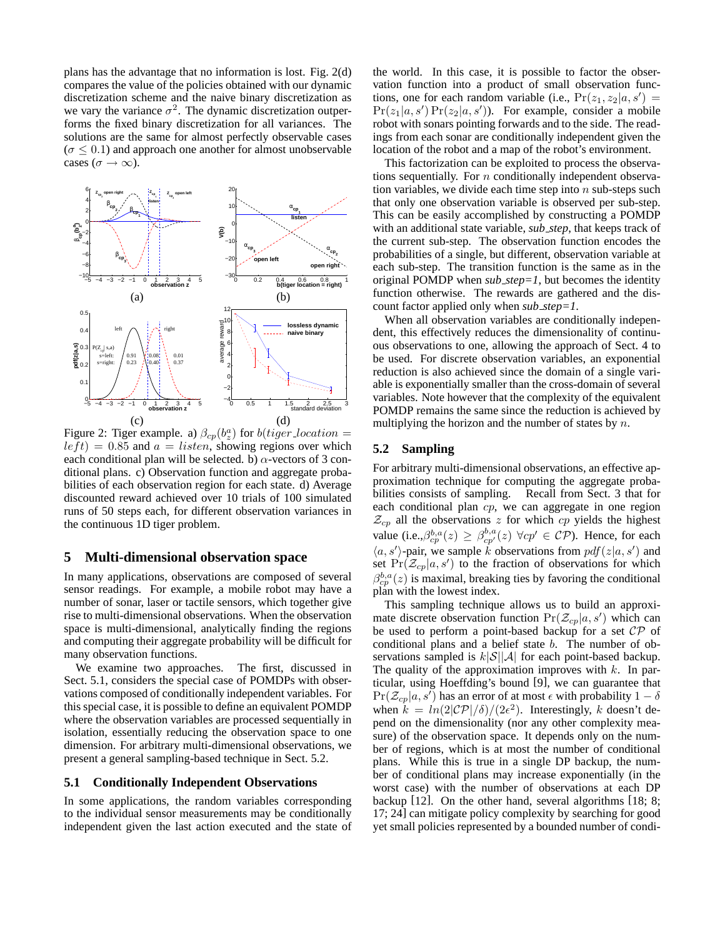plans has the advantage that no information is lost. Fig. 2(d) compares the value of the policies obtained with our dynamic discretization scheme and the naive binary discretization as we vary the variance  $\sigma^2$ . The dynamic discretization outperforms the fixed binary discretization for all variances. The solutions are the same for almost perfectly observable cases  $(\sigma \leq 0.1)$  and approach one another for almost unobservable cases ( $\sigma \rightarrow \infty$ ).



Figure 2: Tiger example. a)  $\beta_{cp}(b_x^a)$  for  $b(tiger\_location =$ <br> $left) = 0.85$  and  $a = listen$  showing regions over which  $left) = 0.85$  and  $a = listen$ , showing regions over which each conditional plan will be selected. b)  $\alpha$ -vectors of 3 conditional plans. c) Observation function and aggregate probabilities of each observation region for each state. d) Average discounted reward achieved over 10 trials of 100 simulated runs of 50 steps each, for different observation variances in the continuous 1D tiger problem.

#### **5 Multi-dimensional observation space**

In many applications, observations are composed of several sensor readings. For example, a mobile robot may have a number of sonar, laser or tactile sensors, which together give rise to multi-dimensional observations. When the observation space is multi-dimensional, analytically finding the regions and computing their aggregate probability will be difficult for many observation functions.

We examine two approaches. The first, discussed in Sect. 5.1, considers the special case of POMDPs with observations composed of conditionally independent variables. For this special case, it is possible to define an equivalent POMDP where the observation variables are processed sequentially in isolation, essentially reducing the observation space to one dimension. For arbitrary multi-dimensional observations, we present a general sampling-based technique in Sect. 5.2.

#### **5.1 Conditionally Independent Observations**

In some applications, the random variables corresponding to the individual sensor measurements may be conditionally independent given the last action executed and the state of the world. In this case, it is possible to factor the observation function into a product of small observation functions, one for each random variable (i.e.,  $Pr(z_1, z_2|a, s') =$  $Pr(z_1|a, s') Pr(z_2|a, s')$ . For example, consider a mobile<br>robot with sonars pointing forwards and to the side. The readrobot with sonars pointing forwards and to the side. The readings from each sonar are conditionally independent given the location of the robot and a map of the robot's environment.

This factorization can be exploited to process the observations sequentially. For  $n$  conditionally independent observation variables, we divide each time step into  $n$  sub-steps such that only one observation variable is observed per sub-step. This can be easily accomplished by constructing a POMDP with an additional state variable, *sub step*, that keeps track of the current sub-step. The observation function encodes the probabilities of a single, but different, observation variable at each sub-step. The transition function is the same as in the original POMDP when *sub step=1*, but becomes the identity function otherwise. The rewards are gathered and the discount factor applied only when *sub step=1*.

When all observation variables are conditionally independent, this effectively reduces the dimensionality of continuous observations to one, allowing the approach of Sect. 4 to be used. For discrete observation variables, an exponential reduction is also achieved since the domain of a single variable is exponentially smaller than the cross-domain of several variables. Note however that the complexity of the equivalent POMDP remains the same since the reduction is achieved by multiplying the horizon and the number of states by  $n$ .

#### **5.2 Sampling**

For arbitrary multi-dimensional observations, an effective approximation technique for computing the aggregate probabilities consists of sampling. Recall from Sect. 3 that for each conditional plan cp, we can aggregate in one region  $\mathcal{Z}_{cp}$  all the observations z for which cp yields the highest value (i.e.,  $\beta_{cp}^{b,a}(z) \geq \beta_{cp'}^{b,a}(z) \,\forall cp' \in CP$ ). Hence, for each  $(a, a')$  pair we seem absorptions from  $\text{ref}(z|a, a')$  and  $\langle a, s' \rangle$ -pair, we sample k observations from  $pdf(z|a, s')$  and set  $Pr(\mathcal{Z}_{-}|a, s')$  to the fraction of observations for which set  $Pr(\mathcal{Z}_{cp}|a, s')$  to the fraction of observations for which  $\mathcal{Z}_{c}^{b,a}(s)$  is maximal bracking ties by favoring the conditional  $\beta_{cp}^{b,a}(z)$  is maximal, breaking ties by favoring the conditional plan with the lowest index plan with the lowest index.

This sampling technique allows us to build an approximate discrete observation function  $Pr(Z_{cp}|a, s')$  which can<br>be used to perform a point-based backup for a set CP of be used to perform a point-based backup for a set CP of conditional plans and a belief state b. The number of observations sampled is  $k|\mathcal{S}||\mathcal{A}|$  for each point-based backup. The quality of the approximation improves with  $k$ . In particular, using Hoeffding's bound [9], we can guarantee that  $\Pr(\mathcal{Z}_{cp}|a, s')$  has an error of at most  $\epsilon$  with probability  $1 - \delta$ <br>when  $k = \ln(2|\mathcal{CD}|/\delta)/\sqrt{2\epsilon^2}$  Interestingly k doesn't dewhen  $k = ln(2|\mathcal{CP}|/\delta)/(2\epsilon^2)$ . Interestingly, k doesn't depend on the dimensionality (nor any other complexity measure) of the observation space. It depends only on the number of regions, which is at most the number of conditional plans. While this is true in a single DP backup, the number of conditional plans may increase exponentially (in the worst case) with the number of observations at each DP backup [12]. On the other hand, several algorithms [18; 8; 17; 24] can mitigate policy complexity by searching for good yet small policies represented by a bounded number of condi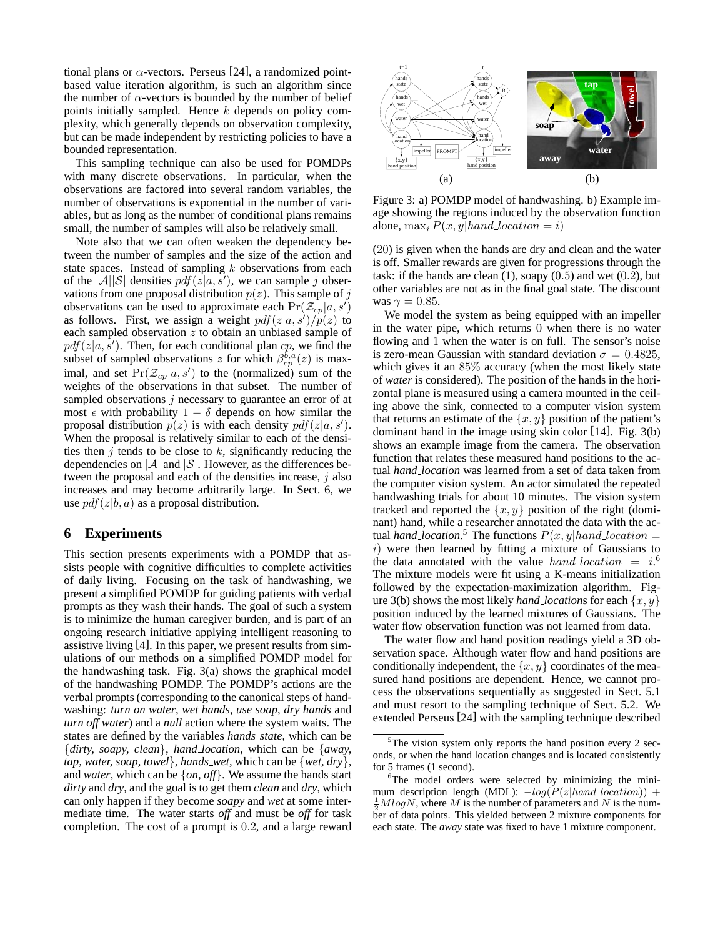tional plans or  $\alpha$ -vectors. Perseus [24], a randomized pointbased value iteration algorithm, is such an algorithm since the number of  $\alpha$ -vectors is bounded by the number of belief points initially sampled. Hence  $k$  depends on policy complexity, which generally depends on observation complexity, but can be made independent by restricting policies to have a bounded representation.

This sampling technique can also be used for POMDPs with many discrete observations. In particular, when the observations are factored into several random variables, the number of observations is exponential in the number of variables, but as long as the number of conditional plans remains small, the number of samples will also be relatively small.

Note also that we can often weaken the dependency between the number of samples and the size of the action and state spaces. Instead of sampling  $k$  observations from each of the  $|A||S|$  densities  $pdf(z|a, s')$ , we can sample j observations from one proposal distribution  $p(z)$ . This sample of j vations from one proposal distribution  $p(z)$ . This sample of j observations can be used to approximate each  $Pr(\mathcal{Z}_{cp}|a, s')$ as follows. First, we assign a weight  $pdf(z|a, s')/p(z)$  to each sampled observation z to obtain an unbiased sample of each sampled observation  $z$  to obtain an unbiased sample of  $pdf(z|a, s')$ . Then, for each conditional plan *cp*, we find the subset of sampled observations z for which  $\beta^{b,a}(z)$  is maxsubset of sampled observations z for which  $\beta_{cp}^{b,a}(z)$  is max-<br>imal, and set  $Pr(Z \mid a, s')$  to the (pormalized) sum of the imal, and set  $Pr(\mathcal{Z}_{cp}|a, s')$  to the (normalized) sum of the weights of the observations in that subset. The number of weights of the observations in that subset. The number of sampled observations *i* necessary to guarantee an error of at most  $\epsilon$  with probability 1 –  $\delta$  depends on how similar the proposal distribution  $p(z)$  is with each density  $pdf(z|a, s')$ .<br>When the proposal is relatively similar to each of the densi-When the proposal is relatively similar to each of the densities then  $j$  tends to be close to  $k$ , significantly reducing the dependencies on  $|\mathcal{A}|$  and  $|\mathcal{S}|$ . However, as the differences between the proposal and each of the densities increase,  $j$  also increases and may become arbitrarily large. In Sect. 6, we use  $pdf(z|b, a)$  as a proposal distribution.

## **6 Experiments**

This section presents experiments with a POMDP that assists people with cognitive difficulties to complete activities of daily living. Focusing on the task of handwashing, we present a simplified POMDP for guiding patients with verbal prompts as they wash their hands. The goal of such a system is to minimize the human caregiver burden, and is part of an ongoing research initiative applying intelligent reasoning to assistive living [4]. In this paper, we present results from simulations of our methods on a simplified POMDP model for the handwashing task. Fig. 3(a) shows the graphical model of the handwashing POMDP. The POMDP's actions are the verbal prompts (corresponding to the canonical steps of handwashing: *turn on water*, *wet hands*, *use soap*, *dry hands* and *turn off water*) and a *null* action where the system waits. The states are defined by the variables *hands state*, which can be {*dirty, soapy, clean*}, *hand location*, which can be {*away, tap, water, soap, towel*}, *hands wet*, which can be {*wet, dry*}, and *water*, which can be {*on, off*}. We assume the hands start *dirty* and *dry*, and the goal is to get them *clean* and *dry*, which can only happen if they become *soapy* and *wet* at some intermediate time. The water starts *off* and must be *off* for task completion. The cost of a prompt is 0.2, and a large reward



Figure 3: a) POMDP model of handwashing. b) Example image showing the regions induced by the observation function alone, max<sub>i</sub>  $P(x, y | hand. location = i)$ 

(20) is given when the hands are dry and clean and the water is off. Smaller rewards are given for progressions through the task: if the hands are clean  $(1)$ , soapy  $(0.5)$  and wet  $(0.2)$ , but other variables are not as in the final goal state. The discount was  $\gamma = 0.85$ .

We model the system as being equipped with an impeller in the water pipe, which returns 0 when there is no water flowing and 1 when the water is on full. The sensor's noise is zero-mean Gaussian with standard deviation  $\sigma = 0.4825$ , which gives it an 85% accuracy (when the most likely state of *water* is considered). The position of the hands in the horizontal plane is measured using a camera mounted in the ceiling above the sink, connected to a computer vision system that returns an estimate of the  $\{x, y\}$  position of the patient's dominant hand in the image using skin color [14]. Fig. 3(b) shows an example image from the camera. The observation function that relates these measured hand positions to the actual *hand location* was learned from a set of data taken from the computer vision system. An actor simulated the repeated handwashing trials for about 10 minutes. The vision system tracked and reported the  $\{x, y\}$  position of the right (dominant) hand, while a researcher annotated the data with the actual *hand location*.<sup>5</sup> The functions  $P(x, y | hand$  *location* = i) were then learned by fitting a mixture of Gaussians to  $i)$  were then learned by fitting a mixture of Gaussians to the data annotated with the value  $hand\_location = i$ <sup>6</sup>.<br>The mixture models were fit using a K-means initialization The mixture models were fit using a K-means initialization followed by the expectation-maximization algorithm. Figure 3(b) shows the most likely *hand locations* for each  $\{x, y\}$ position induced by the learned mixtures of Gaussians. The water flow observation function was not learned from data.

The water flow and hand position readings yield a 3D observation space. Although water flow and hand positions are conditionally independent, the  $\{x, y\}$  coordinates of the measured hand positions are dependent. Hence, we cannot process the observations sequentially as suggested in Sect. 5.1 and must resort to the sampling technique of Sect. 5.2. We extended Perseus [24] with the sampling technique described

<sup>&</sup>lt;sup>5</sup>The vision system only reports the hand position every 2 seconds, or when the hand location changes and is located consistently for 5 frames (1 second).

<sup>&</sup>lt;sup>6</sup>The model orders were selected by minimizing the minimum description length (MDL):  $-log(P(z|hand\ location))$  +  $\frac{1}{2}M log N$ , where M is the number of parameters and N is the number of data points. This yielded between 2 mixture components for each state. The *away* state was fixed to have 1 mixture component.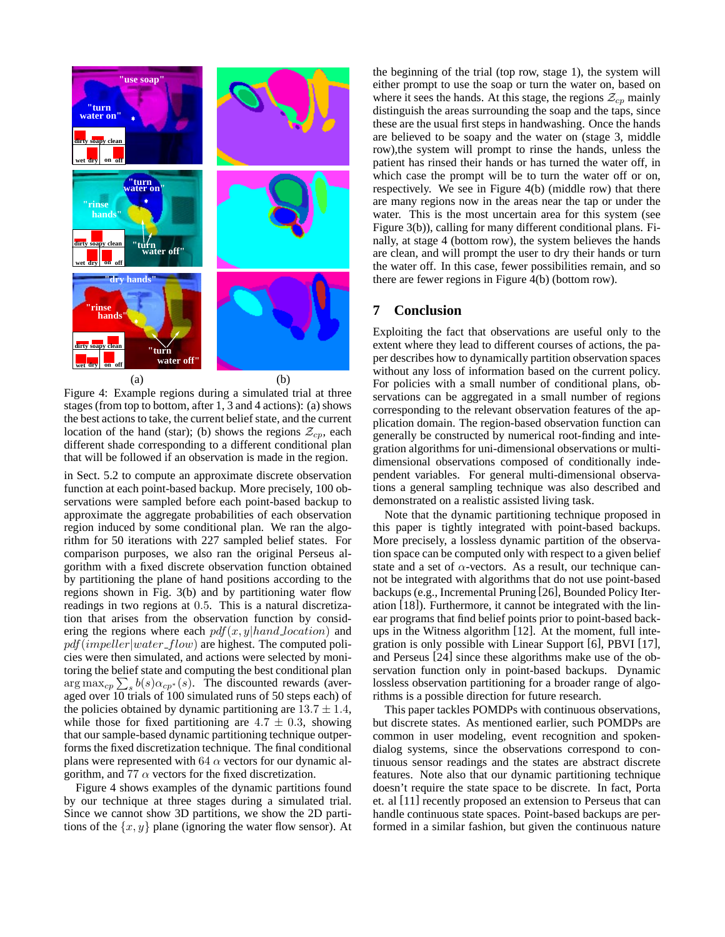

Figure 4: Example regions during a simulated trial at three stages (from top to bottom, after 1, 3 and 4 actions): (a) shows the best actions to take, the current belief state, and the current location of the hand (star); (b) shows the regions  $\mathcal{Z}_{cp}$ , each different shade corresponding to a different conditional plan that will be followed if an observation is made in the region.

in Sect. 5.2 to compute an approximate discrete observation function at each point-based backup. More precisely, 100 observations were sampled before each point-based backup to approximate the aggregate probabilities of each observation region induced by some conditional plan. We ran the algorithm for 50 iterations with 227 sampled belief states. For comparison purposes, we also ran the original Perseus algorithm with a fixed discrete observation function obtained by partitioning the plane of hand positions according to the regions shown in Fig. 3(b) and by partitioning water flow readings in two regions at 0.5. This is a natural discretization that arises from the observation function by considering the regions where each  $pdf(x, y|hand\_location)$  and  $pdf(impeller|water_flow)$  are highest. The computed policies were then simulated, and actions were selected by monitoring the belief state and computing the best conditional plan  $\arg \max_{cp} \sum_{s} b(s) \alpha_{cp}*(s)$ . The discounted rewards (aver-<br>aged over 10 trials of 100 simulated runs of 50 steps each) of aged over 10 trials of 100 simulated runs of 50 steps each) of the policies obtained by dynamic partitioning are  $13.7 \pm 1.4$ , while those for fixed partitioning are  $4.7 \pm 0.3$ , showing that our sample-based dynamic partitioning technique outperforms the fixed discretization technique. The final conditional plans were represented with 64  $\alpha$  vectors for our dynamic algorithm, and 77  $\alpha$  vectors for the fixed discretization.

Figure 4 shows examples of the dynamic partitions found by our technique at three stages during a simulated trial. Since we cannot show 3D partitions, we show the 2D partitions of the  $\{x, y\}$  plane (ignoring the water flow sensor). At the beginning of the trial (top row, stage 1), the system will either prompt to use the soap or turn the water on, based on where it sees the hands. At this stage, the regions  $\mathcal{Z}_{cp}$  mainly distinguish the areas surrounding the soap and the taps, since these are the usual first steps in handwashing. Once the hands are believed to be soapy and the water on (stage 3, middle row),the system will prompt to rinse the hands, unless the patient has rinsed their hands or has turned the water off, in which case the prompt will be to turn the water off or on, respectively. We see in Figure 4(b) (middle row) that there are many regions now in the areas near the tap or under the water. This is the most uncertain area for this system (see Figure 3(b)), calling for many different conditional plans. Finally, at stage 4 (bottom row), the system believes the hands are clean, and will prompt the user to dry their hands or turn the water off. In this case, fewer possibilities remain, and so there are fewer regions in Figure 4(b) (bottom row).

### **7 Conclusion**

Exploiting the fact that observations are useful only to the extent where they lead to different courses of actions, the paper describes how to dynamically partition observation spaces without any loss of information based on the current policy. For policies with a small number of conditional plans, observations can be aggregated in a small number of regions corresponding to the relevant observation features of the application domain. The region-based observation function can generally be constructed by numerical root-finding and integration algorithms for uni-dimensional observations or multidimensional observations composed of conditionally independent variables. For general multi-dimensional observations a general sampling technique was also described and demonstrated on a realistic assisted living task.

Note that the dynamic partitioning technique proposed in this paper is tightly integrated with point-based backups. More precisely, a lossless dynamic partition of the observation space can be computed only with respect to a given belief state and a set of  $\alpha$ -vectors. As a result, our technique cannot be integrated with algorithms that do not use point-based backups (e.g., Incremental Pruning [26], Bounded Policy Iteration [18]). Furthermore, it cannot be integrated with the linear programs that find belief points prior to point-based backups in the Witness algorithm [12]. At the moment, full integration is only possible with Linear Support [6], PBVI [17], and Perseus [24] since these algorithms make use of the observation function only in point-based backups. Dynamic lossless observation partitioning for a broader range of algorithms is a possible direction for future research.

This paper tackles POMDPs with continuous observations, but discrete states. As mentioned earlier, such POMDPs are common in user modeling, event recognition and spokendialog systems, since the observations correspond to continuous sensor readings and the states are abstract discrete features. Note also that our dynamic partitioning technique doesn't require the state space to be discrete. In fact, Porta et. al [11] recently proposed an extension to Perseus that can handle continuous state spaces. Point-based backups are performed in a similar fashion, but given the continuous nature